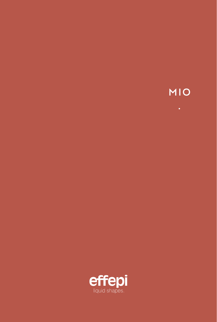

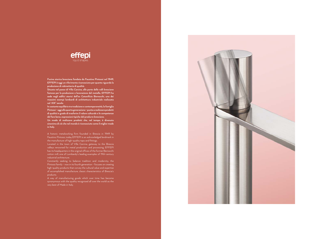

**Fucina storica bresciana fondata da Faustino Pintossi nel 1949, EFFEPI è oggi un riferimento riconosciuto per quanto riguarda la produzione di rubinetteria di qualità.**

**Situata nel paese di Villa Carcina, alle porte delle valli bresciane famose per la produzione e lavorazione del metallo, EFFEPI ha sede negli edifici storici dell'ex Cotonificio Bernocchi, uno dei massimi esempi lombardi di architettura industriale realizzata nel XIX° secolo.**

**In costante equilibrio tra tradizione e contemporaneità, la famiglia Pintossi - oggi alla quarta generazione - punta a realizzare prodotti di qualità in grado di trasferire il valore culturale e le competenze del fare bene, espressioni tipiche del produrre bresciano.**

**Un modo di realizzare prodotti che, nel tempo, è divenuto sinonimo di ciò che nel mondo è riconosciuto come il miglior made in Italy.**

A historic metalworking firm founded in Brescia in 1949 by Faustino Pintossi, today EFFEPI is an acknowledged landmark in the manufacture of high-quality taps and fittings.

Located in the town of Villa Carcina, gateway to the Brescia valleys renowned for metal production and processing, EFFEPI has its headquarters in the original offices of the former Bernocchi cotton mill, one of Lombardy's leading examples of 19th-century industrial architecture.

Constantly seeking to balance tradition and modernity, the Pintossi family - now in its fourth generation - focuses on creating high-quality products that convey the cultural value and expertise of accomplished manufacture, classic characteristics of Brescia's products.

A way of manufacturing goods which over time has become synonymous with the quality recognised all over the world as the very best of Made in Italy.

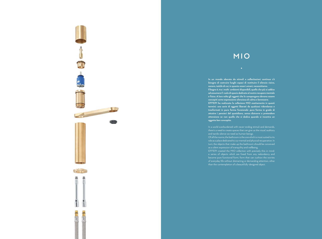# **MIO**

**.**

**In un mondo oberato da stimoli e sollecitazioni continue c'é bisogno di costruire luoghi capaci di restituire il silenzio visivo, sonoro, tattile di cui, in quanto esseri umani, necessitiamo. Il bagno è, tra i molti ambienti disponibili, quello che più si addice ad assumere il ruolo di spazio dedicato al nostro recupero mentale e fisico. A loro volta gli oggetti che lo compongono devono essere concepiti come espressione silenziosa di calma e benessere. EFFEPI ha realizzato la collezione MIO esattamente in questi termini: una serie di oggetti liberati da qualsiasi ridondanza e trasformati in pura forma funzionale: pura forma in grado di attutire i pensieri del quotidiano, senza distrarre o pretendere attenzione se non quella che si dedica quando si incontra un oggetto ben concepito.**

In a world overburdened with never-ending stimuli and demands, there's a need to create spaces that can give us the visual, auditory and tactile silence we need as human beings. Of all the rooms, the bathroom is the one which is most suited to its role as a place dedicated to our mental and physical recuperation. In turn, the objects that make up the bathroom should be conceived as a silent expression of tranquility and wellbeing. EFFEPI created the MIO collection with precisely this in mind: a series of objects which are freed from any redundancy and of everyday life without distracting or demanding attention, other than the contemplation of a beautifully-designed object.

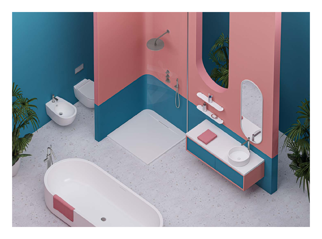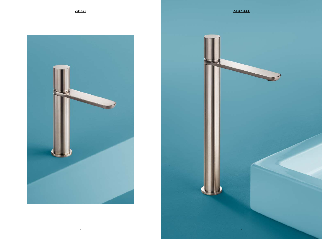



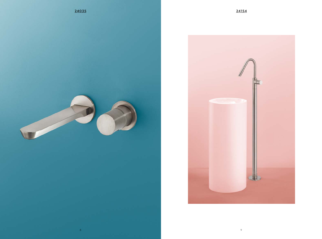

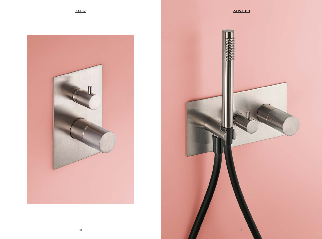

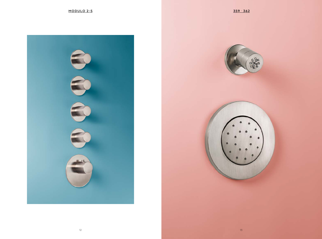

ö



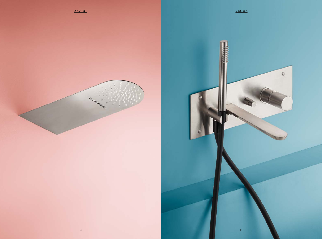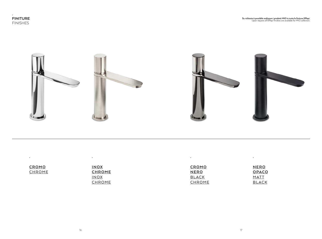$\bullet$ 

**.**

 $\bullet$  .

**NERO OPACO** MATT **BLACK** 

**.**

 $\mathcal{A}^{\text{max}}$ 

| CROMO  | <b>INOX</b>   | CROMO        | ∸        |
|--------|---------------|--------------|----------|
| CHROME | <b>CHROME</b> | <b>NERO</b>  |          |
|        | <b>INOX</b>   | <b>BLACK</b> | <u>.</u> |
|        | CHROME        | CHROME       |          |

**.**

 $\langle \cdot \rangle$ 



**.**

the contract of the contract of the contract of the contract of the contract of

#### **Su richiesta è possibile realizzare i prodotti MIO in tutte le finiture Effepi.** Upon request all Effepi finishes are available for MIO collection.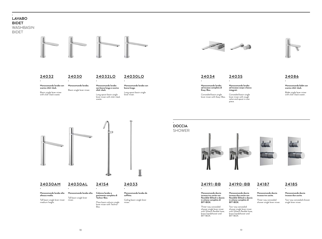#### **24032 .**

 $\Delta$ 

**Monocomando lavabo con scarico click-clack.** 

**.**  $\ddot{\phantom{a}}$ 

**Monocomando lavabo alto altezza media.**

Basin single lever mixer with click-clack waste. Basin single lever mixer.

Tall basin single lever mixer medium height.



#### **24030AM 24030AL .**

**24030 .**

## **Monocomando lavabo.**

## **Monocomando lavabo alto.**

Tall basin single lever

mixer.

**24032LO**

**. Monocomando lavabo con bocca lunga e scarico** 

**click-clack.**  Long spout basin single lever mixer with click-clack

waste.

**24030LO**

**.**

**Monocomando lavabo con bocca lunga.** 

Long spout basin single lever mixer.

## **. LAVABO BIDET**

### WASHBASIN BIDET





**24033 .**

**Monocomando lavabo da soffitto.**

**24190-BB**  $\sim$ 

Ceiling basin single lever mixer.

J

**24154**

**.**

Two-way concealed shower single lever mixer with Silitech flexible hose, brass handshower and BIT-BOX.



**Colonna lavabo a pavimento completa di Techno-Box.** Floor basin column single

lever mixer with Techno-

Box.

**24034 .**

## **Monocomando lavabo**

**ad incasso completo di Easy-Box.**

Concealed basin single lever mixer with Easy-Box. **24035**

**.**

**Monocomando lavabo** 

**ad incasso corpo e bocca integrati.** Concealed basin single lever mixer with rough

valve and spout in one

piece.



**24191-BB .**

 $\ddot{\phantom{a}}$ 

**Monocomando doccia incasso tre uscite con flessibile Silitech e doccia in ottone completo di BIT-BOX.**

Three-way concealed shower single lever mixer with Silitech flexible hose, brass handshower and BIT-BOX.

**.**

**Monocomando doccia incasso due uscite con flessibile Silitech e doccia in ottone completo di BIT-BOX.**

**24187 .**

**Monocomando doccia incasso tre uscite.**

Three-way concealed shower single lever mixer.

**24086 .**

**Monocomando bidet con scarico click-clack.**

Bidet single lever mixer with click-clack waste .







**Monocomando doccia incasso due uscite.**

Two-way concealed shower single lever mixer.

**.**



### **DOCCIA** SHOWER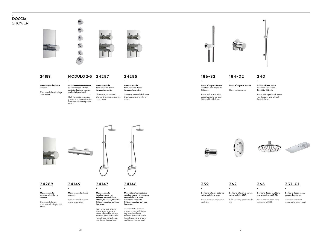**24285**

**.**

#### **24189 .**

 $\mathbf{r}$ 

#### **Monocomando doccia incasso.**

Concealed shower single lever mixer.

## **24289**

**.**

**Monocomando termostatico doccia incasso.**

Concealed shower thermostatic single lever mixer.

**.**

**Monocomando termostatico doccia incasso due uscite. termostatico doccia incasso tre uscite.** 

**Miscelatore termostatico doccia incasso ad alta portata da due a cinque uscite indipendenti.** 

Two-way concealed shower thermostatic single lever mixer. shower thermostatic single

#### **MODULO 2-5 24287 .**

High flow rate concealed shower thermostatic mixer from two to five separate exits.



**.**

**Monocomando doccia esterno.**

Wall mounted shower single lever mixer.

**Monocomando** 

Three-way concealed

lever mixer.

#### **24147 .**

**Monocomando doccia esterno con colonna estensibile in ottone,deviatore, flessibile Silitech, doccia e soffione in ottone.**

Wall mounted shower single lever mixer with brass adjustable column, diverter, Silitech flexible hose, brass handshower and brass showerhead.

**.**



#### **DOCCIA** SHOWER

#### **24148 .**

**Miscelatore termostatico doccia esterno con colonna estensibile in ottone, deviatore, flessibile Silitech, doccia e soffione in ottone.**

Thermostatic external shower mixer with brass adjustable column, diverter, Silitech flexible hose, brass hand shower and brass showerhead.

**359 .**

> **Soffione laterale esterno orientabile in ottone.**

Brass external adjustable body jet.

**362 .**

**Soffione laterale a parete orientabile in ABS.** ABS wall adjustable body



jet.

**366 .**

#### **Soffione doccia in ottone con anticalcare** ø **200.**

Brass shower head with antiscale ø 200.

**337-01 .**

**Soffione doccia inox a parete due uscite.**

Two exits inox wall mounted shower head.

#### **186-S2 .**

**Presa d'acqua e doccia in ottone con flessibile Silitech.**

Brass wall outlet with brass handshower and Silitech flexible hose.





**184-02**

**.**

**Presa d'acqua in ottone.** Brass water outlet.

**240 .**

**Saliscendi con asta e doccia in ottone con flessibile Silitech.**

Brass sliding rail with brass handshower and Silitech flexible hose.



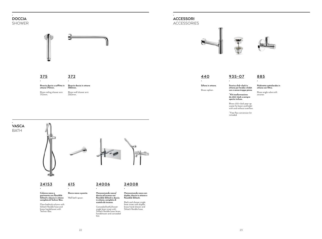**350mm.**  Brass wall shower arm 350mm.



**.**

**ottone 170mm.**  Brass ceiling shower arm

170mm.





### **. DOCCIA** SHOWER

**.**

**ACCESSORI**

ACCESSORIES





**440**

**.**

**Sifone in ottone.** Brass siphon.

#### **885 .**

 $\sim$ 

#### **Rubinetto sottolavabo in ottone con filtro.**

Brass angle valve with strainer.

**935-07**

**.**

 $\cdot$ 

**Scarico click-clack in ottone per lavabo e bidet con e senza troppo pieno.**

**\*Kit trasformazione da click-clack a sempre aperto incluso.**

Brass click-clack pop-up waste for basin and bidet with and without overflow.

\*Free flow conversion kit included.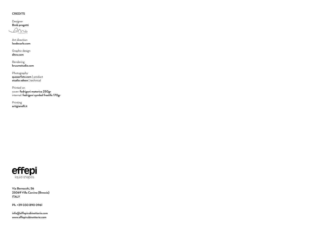**Via Bernocchi, 56 25069 Villa Carcina (Brescia) ITALY**

**Ph. +39 030 890 0961**

Designer **Bmb progetti**  $\mathcal{D}_{\text{N}}$ 

**info@effepirubinetterie.com www.effepirubinetterie.com**

#### **CREDITS**

Art direction **leodecarlo.com**

Graphic design **ditre.com**

Rendering **bruumstudio.com** 

Photography **quasarfoto.com** | product **studio odeon** | technical

Printed on cover: **fedrigoni materica 250gr**  internal: **fedrigoni symbol freelife 170gr**

Printing **artigianelli.it**